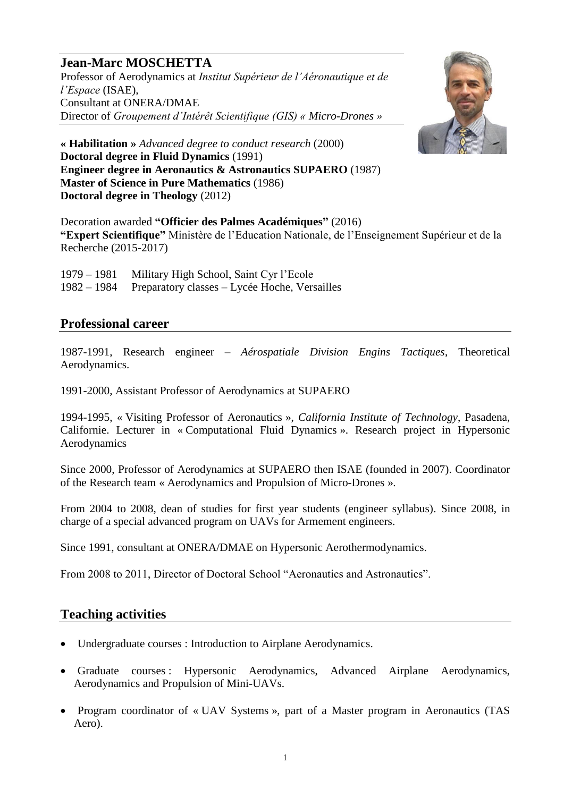# **Jean-Marc MOSCHETTA**

Professor of Aerodynamics at *Institut Supérieur de l'Aéronautique et de l'Espace* (ISAE), Consultant at ONERA/DMAE Director of *Groupement d'Intérêt Scientifique (GIS) « Micro-Drones »*



**« Habilitation »** *Advanced degree to conduct research* (2000) **Doctoral degree in Fluid Dynamics** (1991) **Engineer degree in Aeronautics & Astronautics SUPAERO** (1987) **Master of Science in Pure Mathematics** (1986) **Doctoral degree in Theology** (2012)

Decoration awarded **"Officier des Palmes Académiques"** (2016) **"Expert Scientifique"** Ministère de l'Education Nationale, de l'Enseignement Supérieur et de la Recherche (2015-2017)

1979 – 1981 Military High School, Saint Cyr l'Ecole 1982 – 1984 Preparatory classes – Lycée Hoche, Versailles

#### **Professional career**

1987-1991, Research engineer – *Aérospatiale Division Engins Tactiques*, Theoretical Aerodynamics.

1991-2000, Assistant Professor of Aerodynamics at SUPAERO

1994-1995, « Visiting Professor of Aeronautics », *California Institute of Technology*, Pasadena, Californie. Lecturer in « Computational Fluid Dynamics ». Research project in Hypersonic Aerodynamics

Since 2000, Professor of Aerodynamics at SUPAERO then ISAE (founded in 2007). Coordinator of the Research team « Aerodynamics and Propulsion of Micro-Drones ».

From 2004 to 2008, dean of studies for first year students (engineer syllabus). Since 2008, in charge of a special advanced program on UAVs for Armement engineers.

Since 1991, consultant at ONERA/DMAE on Hypersonic Aerothermodynamics.

From 2008 to 2011, Director of Doctoral School "Aeronautics and Astronautics".

### **Teaching activities**

- Undergraduate courses : Introduction to Airplane Aerodynamics.
- Graduate courses : Hypersonic Aerodynamics, Advanced Airplane Aerodynamics, Aerodynamics and Propulsion of Mini-UAVs.
- Program coordinator of « UAV Systems », part of a Master program in Aeronautics (TAS Aero).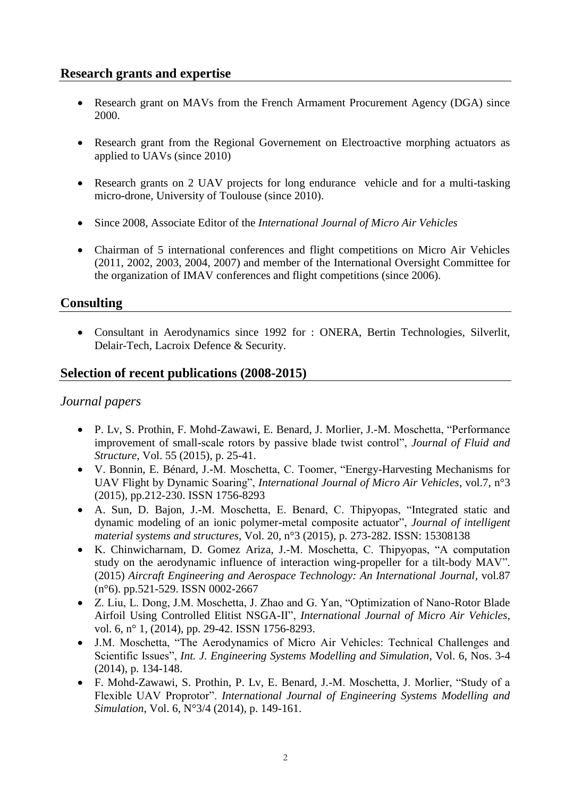### **Research grants and expertise**

- Research grant on MAVs from the French Armament Procurement Agency (DGA) since 2000.
- Research grant from the Regional Governement on Electroactive morphing actuators as applied to UAVs (since 2010)
- Research grants on 2 UAV projects for long endurance vehicle and for a multi-tasking micro-drone, University of Toulouse (since 2010).
- Since 2008, Associate Editor of the *International Journal of Micro Air Vehicles*
- Chairman of 5 international conferences and flight competitions on Micro Air Vehicles (2011, 2002, 2003, 2004, 2007) and member of the International Oversight Committee for the organization of IMAV conferences and flight competitions (since 2006).

## **Consulting**

 Consultant in Aerodynamics since 1992 for : ONERA, Bertin Technologies, Silverlit, Delair-Tech, Lacroix Defence & Security.

## **Selection of recent publications (2008-2015)**

### *Journal papers*

- P. Lv, S. Prothin, F. Mohd-Zawawi, E. Benard, J. Morlier, J.-M. Moschetta, "Performance improvement of small-scale rotors by passive blade twist control", *Journal of Fluid and Structure*, Vol. 55 (2015), p. 25-41.
- V. Bonnin, E. Bénard, J.-M. Moschetta, C. Toomer, "Energy-Harvesting Mechanisms for UAV Flight by Dynamic Soaring", *International Journal of Micro Air Vehicles*, vol.7, n°3 (2015), pp.212-230. ISSN 1756-8293
- A. Sun, D. Bajon, J.-M. Moschetta, E. Benard, C. Thipyopas, "Integrated static and dynamic modeling of an ionic polymer-metal composite actuator", *Journal of intelligent material systems and structures*, Vol. 20, n°3 (2015), p. 273-282. ISSN: 15308138
- K. Chinwicharnam, D. Gomez Ariza, J.-M. Moschetta, C. Thipyopas, "A computation study on the aerodynamic influence of interaction wing-propeller for a tilt-body MAV". (2015) *Aircraft Engineering and Aerospace Technology: An International Journal*, vol.87 (n°6). pp.521-529. ISSN 0002-2667
- Z. Liu, L. Dong, J.M. Moschetta, J. Zhao and G. Yan, "Optimization of Nano-Rotor Blade Airfoil Using Controlled Elitist NSGA-II", *International Journal of Micro Air Vehicles*, vol. 6, n° 1, (2014), pp. 29-42. ISSN 1756-8293.
- J.M. Moschetta, "The Aerodynamics of Micro Air Vehicles: Technical Challenges and Scientific Issues", *Int. J. Engineering Systems Modelling and Simulation*, Vol. 6, Nos. 3-4 (2014), p. 134-148.
- F. Mohd-Zawawi, S. Prothin, P. Lv, E. Benard, J.-M. Moschetta, J. Morlier, "Study of a Flexible UAV Proprotor". *International Journal of Engineering Systems Modelling and Simulation*, Vol. 6, N°3/4 (2014), p. 149-161.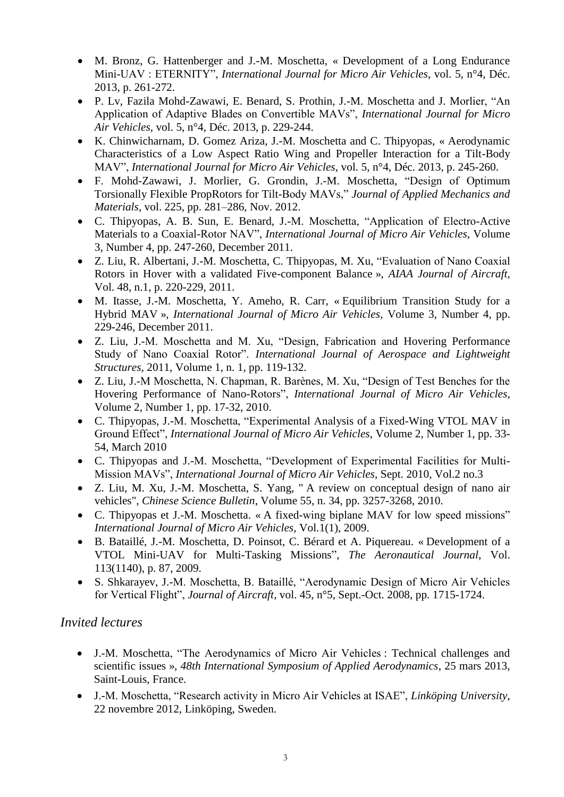- M. Bronz, G. Hattenberger and J.-M. Moschetta, « Development of a Long Endurance Mini-UAV : ETERNITY", *International Journal for Micro Air Vehicles*, vol. 5, n°4, Déc. 2013, p. 261-272.
- P. Lv, Fazila Mohd-Zawawi, E. Benard, S. Prothin, J.-M. Moschetta and J. Morlier, "An Application of Adaptive Blades on Convertible MAVs", *International Journal for Micro Air Vehicles*, vol. 5, n°4, Déc. 2013, p. 229-244.
- K. Chinwicharnam, D. Gomez Ariza, J.-M. Moschetta and C. Thipyopas, « Aerodynamic Characteristics of a Low Aspect Ratio Wing and Propeller Interaction for a Tilt-Body MAV", *International Journal for Micro Air Vehicles*, vol. 5, n°4, Déc. 2013, p. 245-260.
- F. Mohd-Zawawi, J. Morlier, G. Grondin, J.-M. Moschetta, "Design of Optimum Torsionally Flexible PropRotors for Tilt-Body MAVs," *Journal of Applied Mechanics and Materials*, vol. 225, pp. 281–286, Nov. 2012.
- C. Thipyopas, A. B. Sun, E. Benard, J.-M. Moschetta, "Application of Electro-Active Materials to a Coaxial-Rotor NAV", *International Journal of Micro Air Vehicles*, Volume 3, Number 4, pp. 247-260, December 2011.
- Z. Liu, R. Albertani, J.-M. Moschetta, C. Thipyopas, M. Xu, "Evaluation of Nano Coaxial Rotors in Hover with a validated Five-component Balance », *AIAA Journal of Aircraft,*  Vol. 48, n.1, p. 220-229, 2011.
- M. Itasse, J.-M. Moschetta, Y. Ameho, R. Carr, « Equilibrium Transition Study for a Hybrid MAV », *International Journal of Micro Air Vehicles*, Volume 3, Number 4, pp. 229-246, December 2011.
- Z. Liu, J.-M. Moschetta and M. Xu, "Design, Fabrication and Hovering Performance Study of Nano Coaxial Rotor". *International Journal of Aerospace and Lightweight Structures*, 2011, Volume 1, n. 1, pp. 119-132.
- Z. Liu, J.-M Moschetta, N. Chapman, R. Barènes, M. Xu, "Design of Test Benches for the Hovering Performance of Nano-Rotors", *International Journal of Micro Air Vehicles*, Volume 2, Number 1, pp. 17-32, 2010.
- C. Thipyopas, J.-M. Moschetta, "Experimental Analysis of a Fixed-Wing VTOL MAV in Ground Effect", *International Journal of Micro Air Vehicles*, Volume 2, Number 1, pp. 33- 54, March 2010
- C. Thipyopas and J.-M. Moschetta, "Development of Experimental Facilities for Multi-Mission MAVs", *International Journal of Micro Air Vehicles*, Sept. 2010, Vol.2 no.3
- Z. Liu, M. Xu, J.-M. Moschetta, S. Yang, " A review on conceptual design of nano air vehicles", *Chinese Science Bulletin*, Volume 55, n. 34, pp. 3257-3268, 2010.
- C. Thipyopas et J.-M. Moschetta. « A fixed-wing biplane MAV for low speed missions" *International Journal of Micro Air Vehicles*, Vol.1(1), 2009.
- B. Bataillé, J.-M. Moschetta, D. Poinsot, C. Bérard et A. Piquereau. « Development of a VTOL Mini-UAV for Multi-Tasking Missions", *The Aeronautical Journal*, Vol. 113(1140), p. 87, 2009.
- S. Shkarayev, J.-M. Moschetta, B. Bataillé, "Aerodynamic Design of Micro Air Vehicles for Vertical Flight", *Journal of Aircraft*, vol. 45, n°5, Sept.-Oct. 2008, pp. 1715-1724.

### *Invited lectures*

- J.-M. Moschetta, "The Aerodynamics of Micro Air Vehicles : Technical challenges and scientific issues », *48th International Symposium of Applied Aerodynamics*, 25 mars 2013, Saint-Louis, France.
- J.-M. Moschetta, "Research activity in Micro Air Vehicles at ISAE", *Linköping University*, 22 novembre 2012, Linköping, Sweden.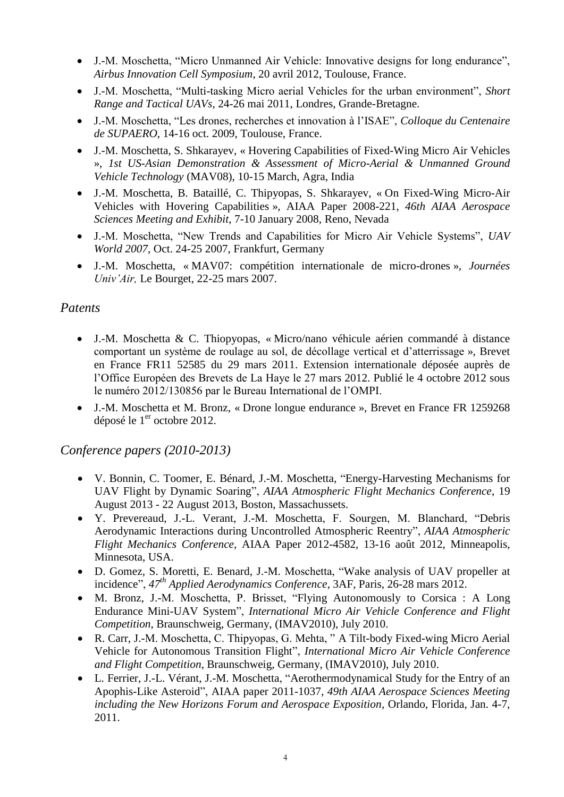- J.-M. Moschetta, "Micro Unmanned Air Vehicle: Innovative designs for long endurance", *Airbus Innovation Cell Symposium*, 20 avril 2012, Toulouse, France.
- J.-M. Moschetta, "Multi-tasking Micro aerial Vehicles for the urban environment", *Short Range and Tactical UAVs*, 24-26 mai 2011, Londres, Grande-Bretagne.
- J.-M. Moschetta, "Les drones, recherches et innovation à l'ISAE", *Colloque du Centenaire de SUPAERO*, 14-16 oct. 2009, Toulouse, France.
- J.-M. Moschetta, S. Shkarayev, « Hovering Capabilities of Fixed-Wing Micro Air Vehicles », *1st US-Asian Demonstration & Assessment of Micro-Aerial & Unmanned Ground Vehicle Technology* (MAV08), 10-15 March, Agra, India
- J.-M. Moschetta, B. Bataillé, C. Thipyopas, S. Shkarayev, « On Fixed-Wing Micro-Air Vehicles with Hovering Capabilities », AIAA Paper 2008-221, *46th AIAA Aerospace Sciences Meeting and Exhibit*, 7-10 January 2008, Reno, Nevada
- J.-M. Moschetta, "New Trends and Capabilities for Micro Air Vehicle Systems", *UAV World 2007*, Oct. 24-25 2007, Frankfurt, Germany
- J.-M. Moschetta, « MAV07: compétition internationale de micro-drones », *Journées Univ'Air,* Le Bourget, 22-25 mars 2007.

## *Patents*

- J.-M. Moschetta & C. Thiopyopas, « Micro/nano véhicule aérien commandé à distance comportant un système de roulage au sol, de décollage vertical et d'atterrissage », Brevet en France FR11 52585 du 29 mars 2011. Extension internationale déposée auprès de l'Office Européen des Brevets de La Haye le 27 mars 2012. Publié le 4 octobre 2012 sous le numéro 2012/130856 par le Bureau International de l'OMPI.
- J.-M. Moschetta et M. Bronz, « Drone longue endurance », Brevet en France FR 1259268 déposé le 1<sup>er</sup> octobre 2012.

### *Conference papers (2010-2013)*

- V. Bonnin, C. Toomer, E. Bénard, J.-M. Moschetta, "Energy-Harvesting Mechanisms for UAV Flight by Dynamic Soaring", *AIAA Atmospheric Flight Mechanics Conference*, 19 August 2013 - 22 August 2013, Boston, Massachussets.
- Y. Prevereaud, J.-L. Verant, J.-M. Moschetta, F. Sourgen, M. Blanchard, "Debris Aerodynamic Interactions during Uncontrolled Atmospheric Reentry", *AIAA Atmospheric Flight Mechanics Conference*, AIAA Paper 2012-4582, 13-16 août 2012, Minneapolis, Minnesota, USA.
- D. Gomez, S. Moretti, E. Benard, J.-M. Moschetta, "Wake analysis of UAV propeller at incidence", *47th Applied Aerodynamics Conference*, 3AF, Paris, 26-28 mars 2012.
- M. Bronz, J.-M. Moschetta, P. Brisset, "Flying Autonomously to Corsica : A Long Endurance Mini-UAV System", *International Micro Air Vehicle Conference and Flight Competition*, Braunschweig, Germany, (IMAV2010), July 2010.
- R. Carr, J.-M. Moschetta, C. Thipyopas, G. Mehta, " A Tilt-body Fixed-wing Micro Aerial Vehicle for Autonomous Transition Flight", *International Micro Air Vehicle Conference and Flight Competition*, Braunschweig, Germany, (IMAV2010), July 2010.
- L. Ferrier, J.-L. Vérant, J.-M. Moschetta, "Aerothermodynamical Study for the Entry of an Apophis-Like Asteroid", AIAA paper 2011-1037, *49th AIAA Aerospace Sciences Meeting including the New Horizons Forum and Aerospace Exposition*, Orlando, Florida, Jan. 4-7, 2011.